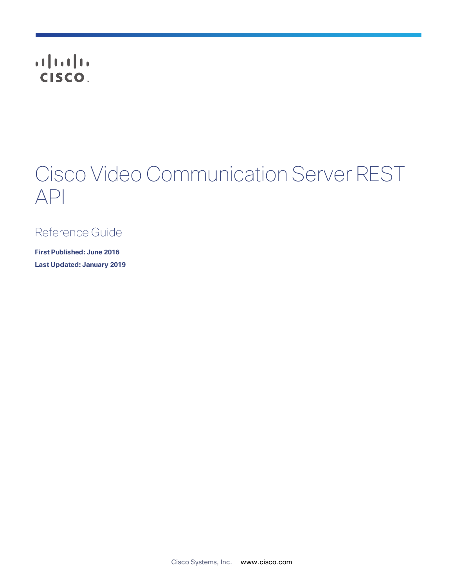# **CISCO**

# Cisco Video Communication Server REST API

# Reference Guide

**First Published: June 2016 Last Updated: January 2019**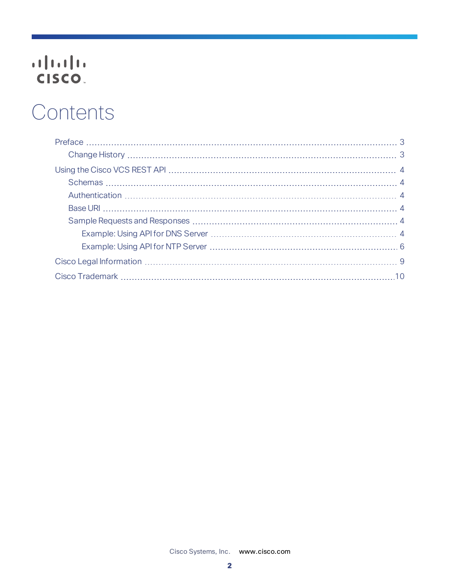# 

# **Contents**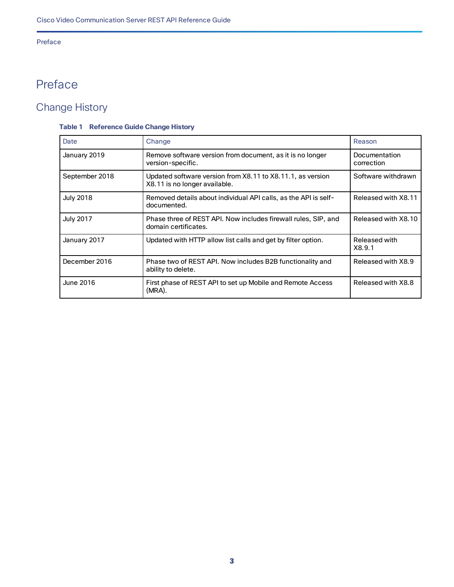#### Preface

# <span id="page-2-0"></span>Preface

# <span id="page-2-1"></span>Change History

#### **Table 1 Reference Guide Change History**

| Date             | Change                                                                                      | Reason                      |
|------------------|---------------------------------------------------------------------------------------------|-----------------------------|
| January 2019     | Remove software version from document, as it is no longer<br>version-specific.              | Documentation<br>correction |
| September 2018   | Updated software version from X8.11 to X8.11.1, as version<br>X8.11 is no longer available. | Software withdrawn          |
| <b>July 2018</b> | Removed details about individual API calls, as the API is self-<br>documented.              | Released with X8.11         |
| <b>July 2017</b> | Phase three of REST API. Now includes firewall rules, SIP, and<br>domain certificates.      | Released with X8.10         |
| January 2017     | Updated with HTTP allow list calls and get by filter option.                                | Released with<br>X8.9.1     |
| December 2016    | Phase two of REST API. Now includes B2B functionality and<br>ability to delete.             | Released with X8.9          |
| June 2016        | First phase of REST API to set up Mobile and Remote Access<br>(MRA).                        | Released with X8.8          |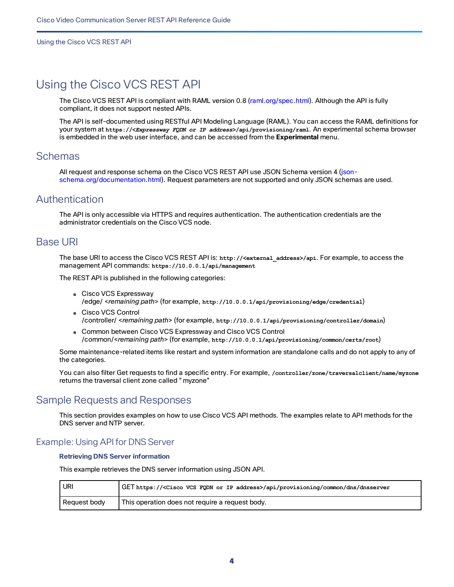### <span id="page-3-0"></span>Using the Cisco VCS REST API

The Cisco VCS REST API is compliant with RAML version 0.8 ([raml.org/spec.html](http://raml.org/spec.html)). Although the API is fully compliant, it does not support nested APIs.

The API is self-documented using RESTful API Modeling Language (RAML). You can access the RAML definitions for your system at **https://<***Expressway FQDN or IP address***>/api/provisioning/raml**. An experimental schema browser is embedded in the web user interface, and can be accessed from the **Experimental** menu.

#### <span id="page-3-1"></span>**Schemas**

All request and response schema on the Cisco VCS REST API use JSON Schema version 4 [\(json](http://json-schema.org/documentation.html)[schema.org/documentation.html\)](http://json-schema.org/documentation.html). Request parameters are not supported and only JSON schemas are used.

#### <span id="page-3-2"></span>Authentication

The API is only accessible via HTTPS and requires authentication. The authentication credentials are the administrator credentials on the Cisco VCS node.

#### <span id="page-3-3"></span>Base URI

The base URI to access the Cisco VCS REST API is: **http://<external\_address>/api**. For example, to access the management API commands: **https://10.0.0.1/api/management**

The REST API is published in the following categories:

- Cisco VCS Expressway /edge/ <*remaining path*> (for example, **http://10.0.0.1/api/provisioning/edge/credential**)
- Cisco VCS Control /controller/ <*remaining path*> (for example, **http://10.0.0.1/api/provisioning/controller/domain**)
- Common between Cisco VCS Expressway and Cisco VCS Control /common/<*remaining path*> (for example, **http://10.0.0.1/api/provisioning/common/certs/root**)

Some maintenance-related items like restart and system information are standalone calls and do not apply to any of the categories.

You can also filter Get requests to find a specific entry. For example, **/controller/zone/traversalclient/name/myzone** returns the traversal client zone called "myzone"

#### <span id="page-3-4"></span>Sample Requests and Responses

This section provides examples on how to use Cisco VCS API methods. The examples relate to API methods for the DNS server and NTP server.

#### <span id="page-3-5"></span>Example: Using API for DNS Server

#### **Retrieving DNS Server information**

This example retrieves the DNS server information using JSON API.

| URI          | GET https:// <cisco address="" fqdn="" ip="" or="" vcs="">/api/provisioning/common/dns/dnsserver</cisco> |
|--------------|----------------------------------------------------------------------------------------------------------|
| Request body | This operation does not require a request body.                                                          |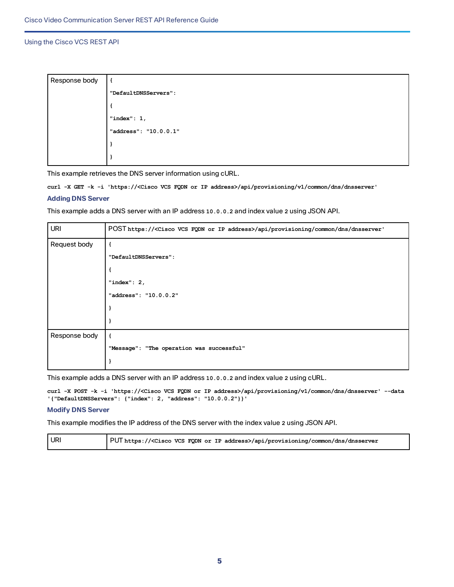| Response body |                       |
|---------------|-----------------------|
|               | "DefaultDNSServers":  |
|               |                       |
|               | "index": $1,$         |
|               | "address": "10.0.0.1" |
|               |                       |
|               |                       |

This example retrieves the DNS server information using cURL.

**curl -X GET -k -i 'https://<Cisco VCS FQDN or IP address>/api/provisioning/v1/common/dns/dnsserver'**

#### **Adding DNS Server**

This example adds a DNS server with an IP address **10.0.0.2** and index value **2** using JSON API.

| <b>URI</b>    | POST https:// <cisco address="" fqdn="" ip="" or="" vcs="">/api/provisioning/common/dns/dnsserver'</cisco> |  |
|---------------|------------------------------------------------------------------------------------------------------------|--|
| Request body  |                                                                                                            |  |
|               | "DefaultDNSServers":                                                                                       |  |
|               |                                                                                                            |  |
|               | "index": $2,$                                                                                              |  |
|               | "address": "10.0.0.2"                                                                                      |  |
|               |                                                                                                            |  |
|               |                                                                                                            |  |
| Response body |                                                                                                            |  |
|               | "Message": "The operation was successful"                                                                  |  |
|               |                                                                                                            |  |

This example adds a DNS server with an IP address **10.0.0.2** and index value **2** using cURL.

**curl -X POST -k -i 'https://<Cisco VCS FQDN or IP address>/api/provisioning/v1/common/dns/dnsserver' --data '{"DefaultDNSServers": {"index": 2, "address": "10.0.0.2"}}'**

#### **Modify DNS Server**

This example modifies the IP address of the DNS server with the index value **2** using JSON API.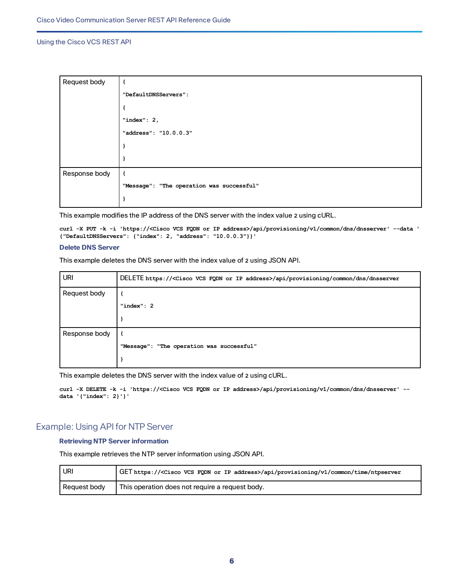| Request body  | €                                         |
|---------------|-------------------------------------------|
|               | "DefaultDNSServers":                      |
|               |                                           |
|               | "index": $2,$                             |
|               | "address": "10.0.0.3"                     |
|               |                                           |
|               | J                                         |
| Response body | €                                         |
|               | "Message": "The operation was successful" |
|               | I                                         |

This example modifies the IP address of the DNS server with the index value **2** using cURL.

**curl -X PUT -k -i 'https://<Cisco VCS FQDN or IP address>/api/provisioning/v1/common/dns/dnsserver' --data ' {"DefaultDNSServers": {"index": 2, "address": "10.0.0.3"}}'**

#### **Delete DNS Server**

This example deletes the DNS server with the index value of **2** using JSON API.

| <b>URI</b>    | DELETE https:// <cisco address="" fqdn="" ip="" or="" vcs="">/api/provisioning/common/dns/dnsserver</cisco> |
|---------------|-------------------------------------------------------------------------------------------------------------|
| Request body  |                                                                                                             |
|               | " $index" : 2$                                                                                              |
|               |                                                                                                             |
| Response body |                                                                                                             |
|               | "Message": "The operation was successful"                                                                   |
|               |                                                                                                             |

This example deletes the DNS server with the index value of **2** using cURL.

**curl -X DELETE -k -i 'https://<Cisco VCS FQDN or IP address>/api/provisioning/v1/common/dns/dnsserver' - data '{"index": 2}'}'**

#### <span id="page-5-0"></span>Example: Using API for NTP Server

#### **Retrieving NTP Server information**

This example retrieves the NTP server information using JSON API.

| URI          | GET https:// <cisco address="" fqdn="" ip="" or="" vcs="">/api/provisioning/v1/common/time/ntpserver</cisco> |
|--------------|--------------------------------------------------------------------------------------------------------------|
| Request body | This operation does not require a request body.                                                              |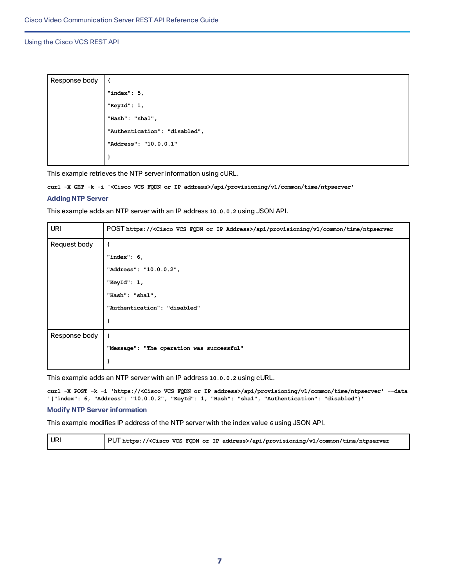| Response body |                               |
|---------------|-------------------------------|
|               | "index": $5$ ,                |
|               | "KeyId": 1,                   |
|               | "Hash": "sha1",               |
|               | "Authentication": "disabled", |
|               | "Address": "10.0.0.1"         |
|               |                               |
|               |                               |

This example retrieves the NTP server information using cURL.

**curl -X GET -k -i '<Cisco VCS FQDN or IP address>/api/provisioning/v1/common/time/ntpserver'**

#### **Adding NTP Server**

This example adds an NTP server with an IP address **10.0.0.2** using JSON API.

| <b>URI</b>    | POST https:// <cisco address="" fqdn="" ip="" or="" vcs="">/api/provisioning/v1/common/time/ntpserver</cisco> |  |
|---------------|---------------------------------------------------------------------------------------------------------------|--|
| Request body  |                                                                                                               |  |
|               | "index": $6,$                                                                                                 |  |
|               | "Address": "10.0.0.2",                                                                                        |  |
|               | "KeyId": $1,$                                                                                                 |  |
|               | "Hash": "sha1",                                                                                               |  |
|               | "Authentication": "disabled"                                                                                  |  |
|               |                                                                                                               |  |
| Response body |                                                                                                               |  |
|               | "Message": "The operation was successful"                                                                     |  |
|               |                                                                                                               |  |

This example adds an NTP server with an IP address **10.0.0.2** using cURL.

**curl -X POST -k -i 'https://<Cisco VCS FQDN or IP address>/api/provisioning/v1/common/time/ntpserver' --data '{"index": 6, "Address": "10.0.0.2", "KeyId": 1, "Hash": "sha1", "Authentication": "disabled"}'**

#### **Modify NTP Server information**

This example modifies IP address of the NTP server with the index value **6** using JSON API.

| URI | PUT https:// <cisco address="" fqdn="" ip="" or="" vcs="">/api/provisioning/v1/common/time/ntpserver</cisco> |
|-----|--------------------------------------------------------------------------------------------------------------|
|     |                                                                                                              |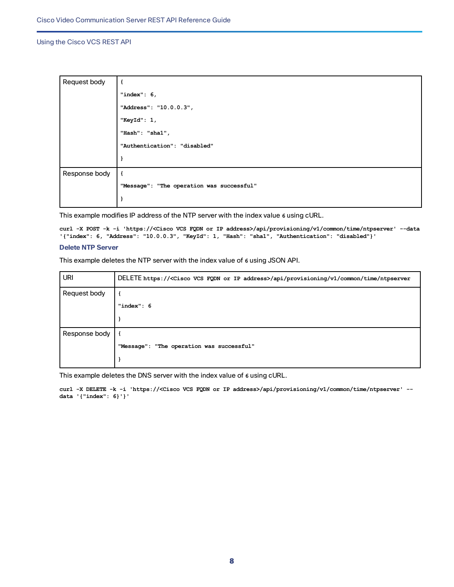| Request body  |                                           |
|---------------|-------------------------------------------|
|               | "index": $6,$                             |
|               | "Address": "10.0.0.3",                    |
|               | "KeyId": 1,                               |
|               | "Hash": "shal",                           |
|               | "Authentication": "disabled"              |
|               | }                                         |
| Response body | $\mathbf{f}$                              |
|               | "Message": "The operation was successful" |
|               |                                           |

This example modifies IP address of the NTP server with the index value **6** using cURL.

**curl -X POST -k -i 'https://<Cisco VCS FQDN or IP address>/api/provisioning/v1/common/time/ntpserver' --data '{"index": 6, "Address": "10.0.0.3", "KeyId": 1, "Hash": "sha1", "Authentication": "disabled"}'**

#### **Delete NTP Server**

This example deletes the NTP server with the index value of **6** using JSON API.

| <b>URI</b>    | DELETE https:// <cisco address="" fqdn="" ip="" or="" vcs="">/api/provisioning/v1/common/time/ntpserver</cisco> |
|---------------|-----------------------------------------------------------------------------------------------------------------|
| Request body  |                                                                                                                 |
|               | "index": 6                                                                                                      |
|               |                                                                                                                 |
| Response body | - 1                                                                                                             |
|               | "Message": "The operation was successful"                                                                       |
|               |                                                                                                                 |

This example deletes the DNS server with the index value of **6** using cURL.

**curl -X DELETE -k -i 'https://<Cisco VCS FQDN or IP address>/api/provisioning/v1/common/time/ntpserver' - data '{"index": 6}'}'**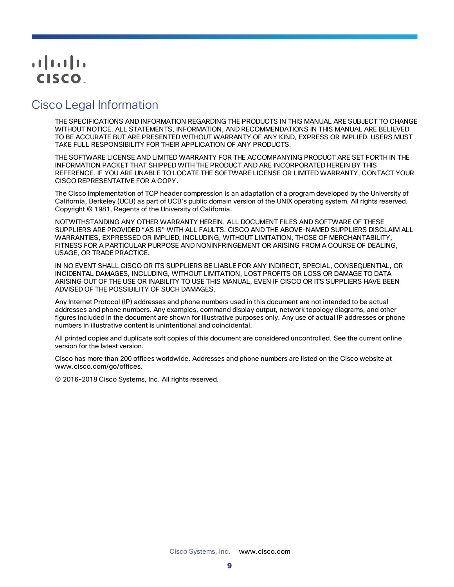# $(1)$  $(1)$ **CISCO**

# <span id="page-8-0"></span>Cisco Legal Information

THE SPECIFICATIONS AND INFORMATION REGARDING THE PRODUCTS IN THIS MANUAL ARE SUBJECT TO CHANGE WITHOUT NOTICE. ALL STATEMENTS, INFORMATION, AND RECOMMENDATIONS IN THIS MANUAL ARE BELIEVED TO BE ACCURATE BUT ARE PRESENTED WITHOUT WARRANTY OF ANY KIND, EXPRESS OR IMPLIED. USERS MUST TAKE FULL RESPONSIBILITY FOR THEIR APPLICATION OF ANY PRODUCTS.

THE SOFTWARE LICENSE AND LIMITED WARRANTY FOR THE ACCOMPANYING PRODUCT ARE SET FORTH IN THE INFORMATION PACKET THAT SHIPPED WITH THE PRODUCT AND ARE INCORPORATED HEREIN BY THIS REFERENCE. IF YOU ARE UNABLE TO LOCATE THE SOFTWARE LICENSE OR LIMITED WARRANTY, CONTACT YOUR CISCO REPRESENTATIVE FOR A COPY.

The Cisco implementation of TCP header compression is an adaptation of a program developed by the University of California, Berkeley (UCB) as part of UCB's public domain version of the UNIX operating system. All rights reserved. Copyright © 1981, Regents of the University of California.

NOTWITHSTANDING ANY OTHER WARRANTY HEREIN, ALL DOCUMENT FILES AND SOFTWARE OF THESE SUPPLIERS ARE PROVIDED "AS IS" WITH ALL FAULTS. CISCO AND THE ABOVE-NAMED SUPPLIERS DISCLAIM ALL WARRANTIES, EXPRESSED OR IMPLIED, INCLUDING, WITHOUT LIMITATION, THOSE OF MERCHANTABILITY, FITNESS FOR A PARTICULAR PURPOSE AND NONINFRINGEMENT OR ARISING FROM A COURSE OF DEALING, USAGE, OR TRADE PRACTICE.

IN NO EVENT SHALL CISCO OR ITS SUPPLIERS BE LIABLE FOR ANY INDIRECT, SPECIAL, CONSEQUENTIAL, OR INCIDENTAL DAMAGES, INCLUDING, WITHOUT LIMITATION, LOST PROFITS OR LOSS OR DAMAGE TO DATA ARISING OUT OF THE USE OR INABILITY TO USE THIS MANUAL, EVEN IF CISCO OR ITS SUPPLIERS HAVE BEEN ADVISED OF THE POSSIBILITY OF SUCH DAMAGES.

Any Internet Protocol (IP) addresses and phone numbers used in this document are not intended to be actual addresses and phone numbers. Any examples, command display output, network topology diagrams, and other figures included in the document are shown for illustrative purposes only. Any use of actual IP addresses or phone numbers in illustrative content is unintentional and coincidental.

All printed copies and duplicate soft copies of this document are considered uncontrolled. See the current online version for the latest version.

Cisco has more than 200 offices worldwide. Addresses and phone numbers are listed on the Cisco website at www.cisco.com/go/offices.

© 2016-2018 Cisco Systems, Inc. All rights reserved.